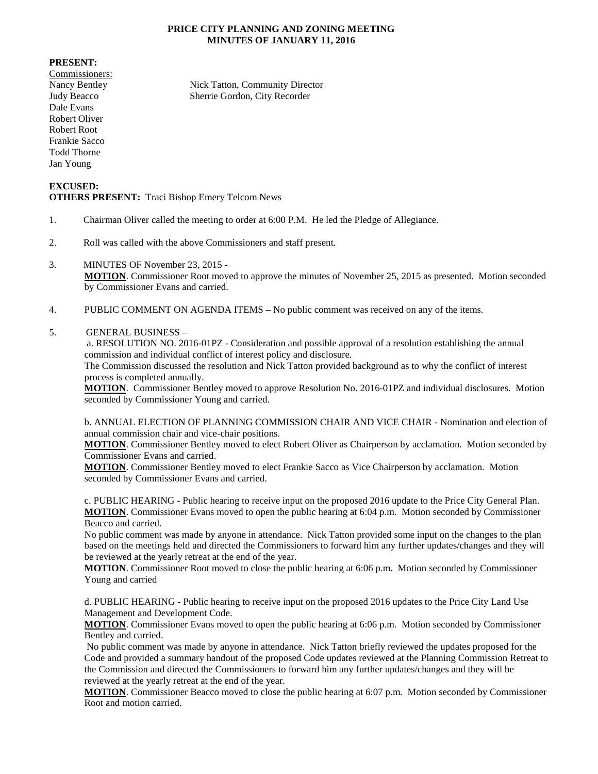## **PRICE CITY PLANNING AND ZONING MEETING MINUTES OF JANUARY 11, 2016**

## **PRESENT:**

Commissioners: Dale Evans Robert Oliver Robert Root Frankie Sacco Todd Thorne Jan Young

Nancy Bentley Nick Tatton, Community Director Judy Beacco Sherrie Gordon, City Recorder

## **EXCUSED: OTHERS PRESENT:** Traci Bishop Emery Telcom News

- 1. Chairman Oliver called the meeting to order at 6:00 P.M. He led the Pledge of Allegiance.
- 2. Roll was called with the above Commissioners and staff present.
- 3. MINUTES OF November 23, 2015 **MOTION**. Commissioner Root moved to approve the minutes of November 25, 2015 as presented. Motion seconded by Commissioner Evans and carried.
- 4. PUBLIC COMMENT ON AGENDA ITEMS No public comment was received on any of the items.

## 5. GENERAL BUSINESS –

a. RESOLUTION NO. 2016-01PZ - Consideration and possible approval of a resolution establishing the annual commission and individual conflict of interest policy and disclosure.

The Commission discussed the resolution and Nick Tatton provided background as to why the conflict of interest process is completed annually.

**MOTION**. Commissioner Bentley moved to approve Resolution No. 2016-01PZ and individual disclosures. Motion seconded by Commissioner Young and carried.

b. ANNUAL ELECTION OF PLANNING COMMISSION CHAIR AND VICE CHAIR - Nomination and election of annual commission chair and vice-chair positions.

**MOTION**. Commissioner Bentley moved to elect Robert Oliver as Chairperson by acclamation. Motion seconded by Commissioner Evans and carried.

**MOTION**. Commissioner Bentley moved to elect Frankie Sacco as Vice Chairperson by acclamation. Motion seconded by Commissioner Evans and carried.

c. PUBLIC HEARING - Public hearing to receive input on the proposed 2016 update to the Price City General Plan. **MOTION**. Commissioner Evans moved to open the public hearing at 6:04 p.m. Motion seconded by Commissioner Beacco and carried.

No public comment was made by anyone in attendance. Nick Tatton provided some input on the changes to the plan based on the meetings held and directed the Commissioners to forward him any further updates/changes and they will be reviewed at the yearly retreat at the end of the year.

**MOTION**. Commissioner Root moved to close the public hearing at 6:06 p.m. Motion seconded by Commissioner Young and carried

d. PUBLIC HEARING - Public hearing to receive input on the proposed 2016 updates to the Price City Land Use Management and Development Code.

**MOTION**. Commissioner Evans moved to open the public hearing at 6:06 p.m. Motion seconded by Commissioner Bentley and carried.

No public comment was made by anyone in attendance. Nick Tatton briefly reviewed the updates proposed for the Code and provided a summary handout of the proposed Code updates reviewed at the Planning Commission Retreat to the Commission and directed the Commissioners to forward him any further updates/changes and they will be reviewed at the yearly retreat at the end of the year.

**MOTION**. Commissioner Beacco moved to close the public hearing at 6:07 p.m. Motion seconded by Commissioner Root and motion carried.